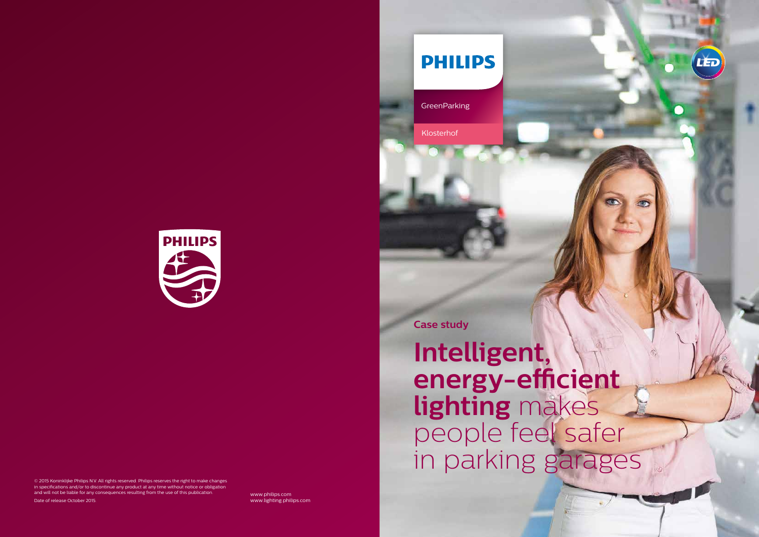www.philips.com www.lighting.philips.com

# **PHILIPS**

**GreenParking** 



© 2015 Koninklijke Philips N.V. All rights reserved. Philips reserves the right to make changes in specifications and/or to discontinue any product at any time without notice or obligation and will not be liable for any consequences resulting from the use of this publication. Date of release October 2015.

**Case study**

**Intelligent, energy-efficient lighting** makes people feel safer in parking garages



Klosterhof